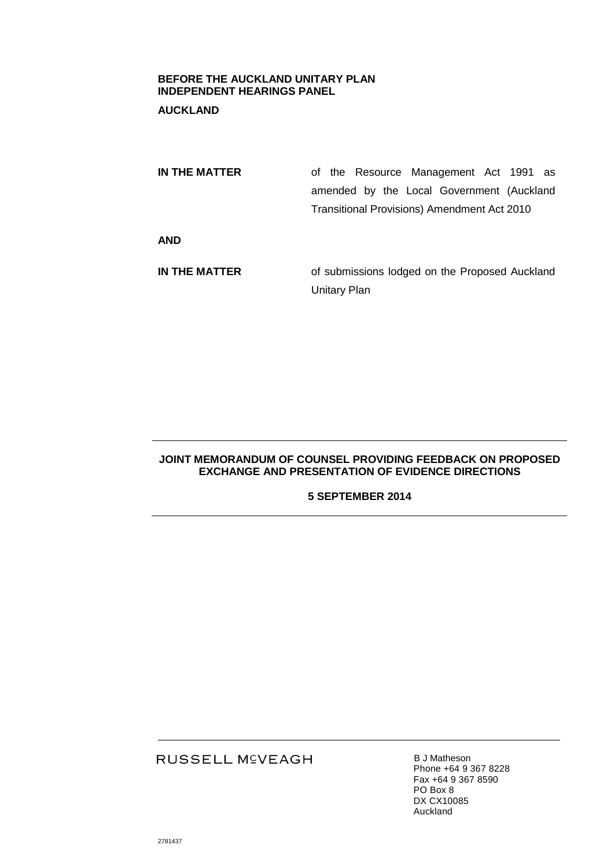### **BEFORE THE AUCKLAND UNITARY PLAN INDEPENDENT HEARINGS PANEL**

## **AUCKLAND**

| IN THE MATTER | of the Resource Management Act 1991 as             |
|---------------|----------------------------------------------------|
|               | amended by the Local Government (Auckland          |
|               | <b>Transitional Provisions) Amendment Act 2010</b> |
| <b>AND</b>    |                                                    |
| IN THE MATTER | of submissions lodged on the Proposed Auckland     |
|               | <b>Unitary Plan</b>                                |

### **JOINT MEMORANDUM OF COUNSEL PROVIDING FEEDBACK ON PROPOSED EXCHANGE AND PRESENTATION OF EVIDENCE DIRECTIONS**

## **5 SEPTEMBER 2014**

# RUSSELL M<sup>C</sup>VEAGH

**B J Matheson** Phone +64 9 367 8228 Fax +64 9 367 8590 PO Box 8 DX CX10085 Auckland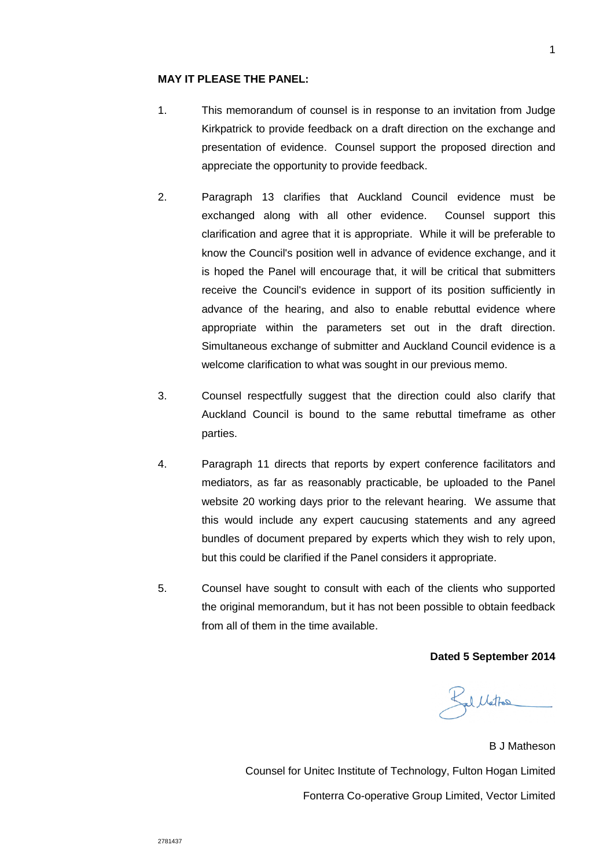#### **MAY IT PLEASE THE PANEL:**

- 1. This memorandum of counsel is in response to an invitation from Judge Kirkpatrick to provide feedback on a draft direction on the exchange and presentation of evidence. Counsel support the proposed direction and appreciate the opportunity to provide feedback.
- 2. Paragraph 13 clarifies that Auckland Council evidence must be exchanged along with all other evidence. Counsel support this clarification and agree that it is appropriate. While it will be preferable to know the Council's position well in advance of evidence exchange, and it is hoped the Panel will encourage that, it will be critical that submitters receive the Council's evidence in support of its position sufficiently in advance of the hearing, and also to enable rebuttal evidence where appropriate within the parameters set out in the draft direction. Simultaneous exchange of submitter and Auckland Council evidence is a welcome clarification to what was sought in our previous memo.
- 3. Counsel respectfully suggest that the direction could also clarify that Auckland Council is bound to the same rebuttal timeframe as other parties.
- 4. Paragraph 11 directs that reports by expert conference facilitators and mediators, as far as reasonably practicable, be uploaded to the Panel website 20 working days prior to the relevant hearing. We assume that this would include any expert caucusing statements and any agreed bundles of document prepared by experts which they wish to rely upon, but this could be clarified if the Panel considers it appropriate.
- 5. Counsel have sought to consult with each of the clients who supported the original memorandum, but it has not been possible to obtain feedback from all of them in the time available.

**Dated 5 September 2014**

Kal Mattos

B J Matheson Counsel for Unitec Institute of Technology, Fulton Hogan Limited Fonterra Co-operative Group Limited, Vector Limited